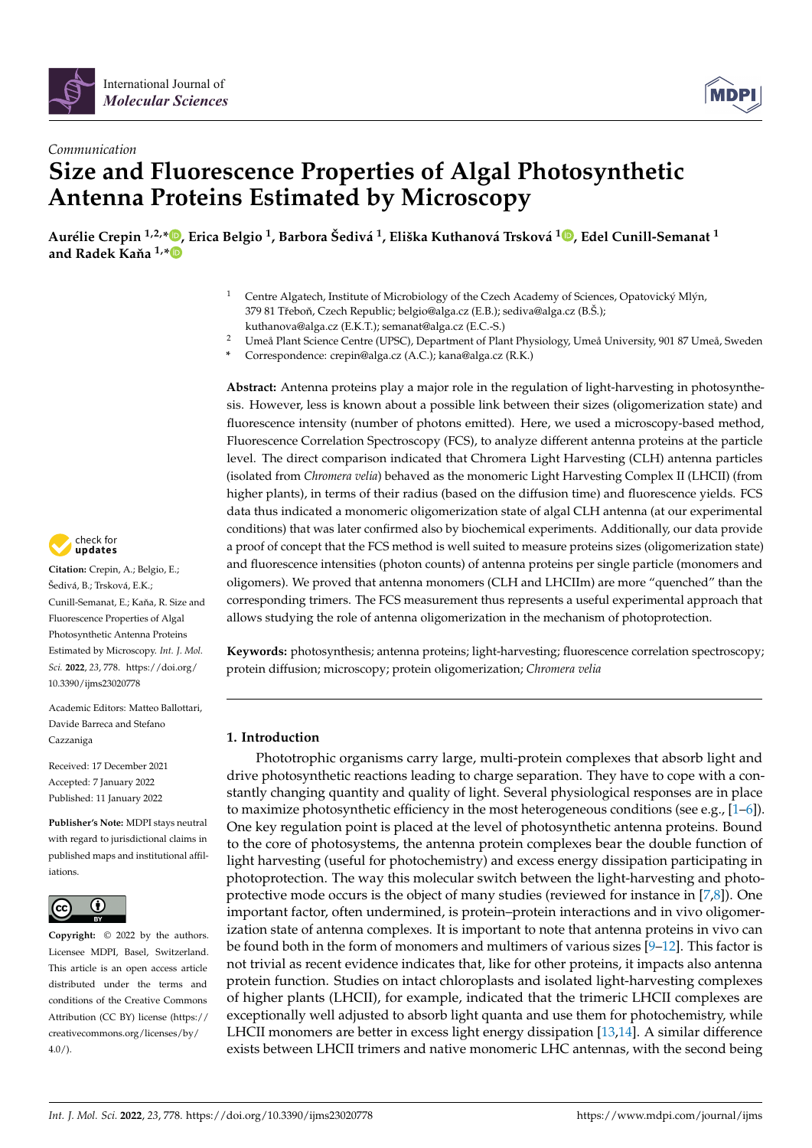



# *Communication* **Size and Fluorescence Properties of Algal Photosynthetic Antenna Proteins Estimated by Microscopy**

Aurélie Crepin <sup>1[,](https://orcid.org/0000-0001-6202-0793)2,</sup>\*®, Erica Belgio <sup>1</sup>, Barbora Šedivá <sup>1</sup>, Eliška Kuthanová Trsková <sup>1</sup>®, Edel Cunill-Semanat <sup>1</sup> and Radek Kaňa  $1, *$  $1, *$ 

- <sup>1</sup> Centre Algatech, Institute of Microbiology of the Czech Academy of Sciences, Opatovický Mlýn, 379 81 Třeboň, Czech Republic; belgio@alga.cz (E.B.); sediva@alga.cz (B.Š.); kuthanova@alga.cz (E.K.T.); semanat@alga.cz (E.C.-S.)
- <sup>2</sup> Umeå Plant Science Centre (UPSC), Department of Plant Physiology, Umeå University, 901 87 Umeå, Sweden
- **\*** Correspondence: crepin@alga.cz (A.C.); kana@alga.cz (R.K.)

**Abstract:** Antenna proteins play a major role in the regulation of light-harvesting in photosynthesis. However, less is known about a possible link between their sizes (oligomerization state) and fluorescence intensity (number of photons emitted). Here, we used a microscopy-based method, Fluorescence Correlation Spectroscopy (FCS), to analyze different antenna proteins at the particle level. The direct comparison indicated that Chromera Light Harvesting (CLH) antenna particles (isolated from *Chromera velia*) behaved as the monomeric Light Harvesting Complex II (LHCII) (from higher plants), in terms of their radius (based on the diffusion time) and fluorescence yields. FCS data thus indicated a monomeric oligomerization state of algal CLH antenna (at our experimental conditions) that was later confirmed also by biochemical experiments. Additionally, our data provide a proof of concept that the FCS method is well suited to measure proteins sizes (oligomerization state) and fluorescence intensities (photon counts) of antenna proteins per single particle (monomers and oligomers). We proved that antenna monomers (CLH and LHCIIm) are more "quenched" than the corresponding trimers. The FCS measurement thus represents a useful experimental approach that allows studying the role of antenna oligomerization in the mechanism of photoprotection.

**Keywords:** photosynthesis; antenna proteins; light-harvesting; fluorescence correlation spectroscopy; protein diffusion; microscopy; protein oligomerization; *Chromera velia*

# **1. Introduction**

Phototrophic organisms carry large, multi-protein complexes that absorb light and drive photosynthetic reactions leading to charge separation. They have to cope with a constantly changing quantity and quality of light. Several physiological responses are in place to maximize photosynthetic efficiency in the most heterogeneous conditions (see e.g.,  $[1-6]$  $[1-6]$ ). One key regulation point is placed at the level of photosynthetic antenna proteins. Bound to the core of photosystems, the antenna protein complexes bear the double function of light harvesting (useful for photochemistry) and excess energy dissipation participating in photoprotection. The way this molecular switch between the light-harvesting and photoprotective mode occurs is the object of many studies (reviewed for instance in [\[7](#page-8-2)[,8\]](#page-8-3)). One important factor, often undermined, is protein–protein interactions and in vivo oligomerization state of antenna complexes. It is important to note that antenna proteins in vivo can be found both in the form of monomers and multimers of various sizes [\[9–](#page-8-4)[12\]](#page-8-5). This factor is not trivial as recent evidence indicates that, like for other proteins, it impacts also antenna protein function. Studies on intact chloroplasts and isolated light-harvesting complexes of higher plants (LHCII), for example, indicated that the trimeric LHCII complexes are exceptionally well adjusted to absorb light quanta and use them for photochemistry, while LHCII monomers are better in excess light energy dissipation [\[13,](#page-8-6)[14\]](#page-8-7). A similar difference exists between LHCII trimers and native monomeric LHC antennas, with the second being



**Citation:** Crepin, A.; Belgio, E.; Šedivá, B.; Trsková, E.K.; Cunill-Semanat, E.; Kaňa, R. Size and Fluorescence Properties of Algal Photosynthetic Antenna Proteins Estimated by Microscopy. *Int. J. Mol. Sci.* **2022**, *23*, 778. [https://doi.org/](https://doi.org/10.3390/ijms23020778) [10.3390/ijms23020778](https://doi.org/10.3390/ijms23020778)

Academic Editors: Matteo Ballottari, Davide Barreca and Stefano Cazzaniga

Received: 17 December 2021 Accepted: 7 January 2022 Published: 11 January 2022

**Publisher's Note:** MDPI stays neutral with regard to jurisdictional claims in published maps and institutional affiliations.



**Copyright:** © 2022 by the authors. Licensee MDPI, Basel, Switzerland. This article is an open access article distributed under the terms and conditions of the Creative Commons Attribution (CC BY) license [\(https://](https://creativecommons.org/licenses/by/4.0/) [creativecommons.org/licenses/by/](https://creativecommons.org/licenses/by/4.0/)  $4.0/$ ).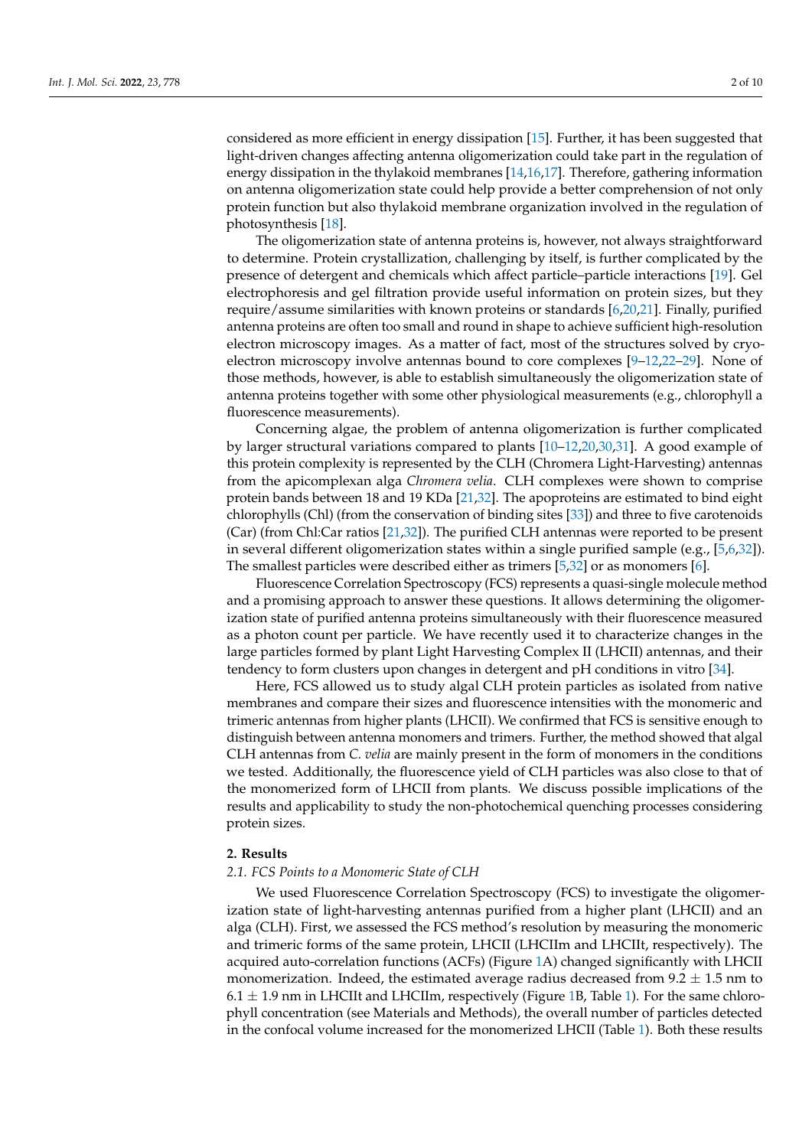considered as more efficient in energy dissipation [\[15\]](#page-8-8). Further, it has been suggested that light-driven changes affecting antenna oligomerization could take part in the regulation of energy dissipation in the thylakoid membranes [\[14,](#page-8-7)[16,](#page-8-9)[17\]](#page-8-10). Therefore, gathering information on antenna oligomerization state could help provide a better comprehension of not only protein function but also thylakoid membrane organization involved in the regulation of photosynthesis [\[18\]](#page-8-11).

The oligomerization state of antenna proteins is, however, not always straightforward to determine. Protein crystallization, challenging by itself, is further complicated by the presence of detergent and chemicals which affect particle–particle interactions [\[19\]](#page-8-12). Gel electrophoresis and gel filtration provide useful information on protein sizes, but they require/assume similarities with known proteins or standards [\[6](#page-8-1)[,20](#page-8-13)[,21\]](#page-8-14). Finally, purified antenna proteins are often too small and round in shape to achieve sufficient high-resolution electron microscopy images. As a matter of fact, most of the structures solved by cryoelectron microscopy involve antennas bound to core complexes [\[9](#page-8-4)[–12,](#page-8-5)[22–](#page-8-15)[29\]](#page-9-0). None of those methods, however, is able to establish simultaneously the oligomerization state of antenna proteins together with some other physiological measurements (e.g., chlorophyll a fluorescence measurements).

Concerning algae, the problem of antenna oligomerization is further complicated by larger structural variations compared to plants [\[10](#page-8-16)[–12,](#page-8-5)[20,](#page-8-13)[30,](#page-9-1)[31\]](#page-9-2). A good example of this protein complexity is represented by the CLH (Chromera Light-Harvesting) antennas from the apicomplexan alga *Chromera velia*. CLH complexes were shown to comprise protein bands between 18 and 19 KDa [\[21,](#page-8-14)[32\]](#page-9-3). The apoproteins are estimated to bind eight chlorophylls (Chl) (from the conservation of binding sites [\[33\]](#page-9-4)) and three to five carotenoids (Car) (from Chl:Car ratios [\[21](#page-8-14)[,32\]](#page-9-3)). The purified CLH antennas were reported to be present in several different oligomerization states within a single purified sample (e.g., [\[5,](#page-8-17)[6,](#page-8-1)[32\]](#page-9-3)). The smallest particles were described either as trimers [\[5,](#page-8-17)[32\]](#page-9-3) or as monomers [\[6\]](#page-8-1).

Fluorescence Correlation Spectroscopy (FCS) represents a quasi-single molecule method and a promising approach to answer these questions. It allows determining the oligomerization state of purified antenna proteins simultaneously with their fluorescence measured as a photon count per particle. We have recently used it to characterize changes in the large particles formed by plant Light Harvesting Complex II (LHCII) antennas, and their tendency to form clusters upon changes in detergent and pH conditions in vitro [\[34\]](#page-9-5).

Here, FCS allowed us to study algal CLH protein particles as isolated from native membranes and compare their sizes and fluorescence intensities with the monomeric and trimeric antennas from higher plants (LHCII). We confirmed that FCS is sensitive enough to distinguish between antenna monomers and trimers. Further, the method showed that algal CLH antennas from *C. velia* are mainly present in the form of monomers in the conditions we tested. Additionally, the fluorescence yield of CLH particles was also close to that of the monomerized form of LHCII from plants. We discuss possible implications of the results and applicability to study the non-photochemical quenching processes considering protein sizes.

### **2. Results**

## *2.1. FCS Points to a Monomeric State of CLH*

We used Fluorescence Correlation Spectroscopy (FCS) to investigate the oligomerization state of light-harvesting antennas purified from a higher plant (LHCII) and an alga (CLH). First, we assessed the FCS method's resolution by measuring the monomeric and trimeric forms of the same protein, LHCII (LHCIIm and LHCIIt, respectively). The acquired auto-correlation functions (ACFs) (Figure [1A](#page-2-0)) changed significantly with LHCII monomerization. Indeed, the estimated average radius decreased from  $9.2 \pm 1.5$  nm to  $6.1 \pm 1.9$  nm in LHCIIt and LHCIIm, respectively (Figure [1B](#page-2-0), Table [1\)](#page-2-1). For the same chlorophyll concentration (see Materials and Methods), the overall number of particles detected in the confocal volume increased for the monomerized LHCII (Table [1\)](#page-2-1). Both these results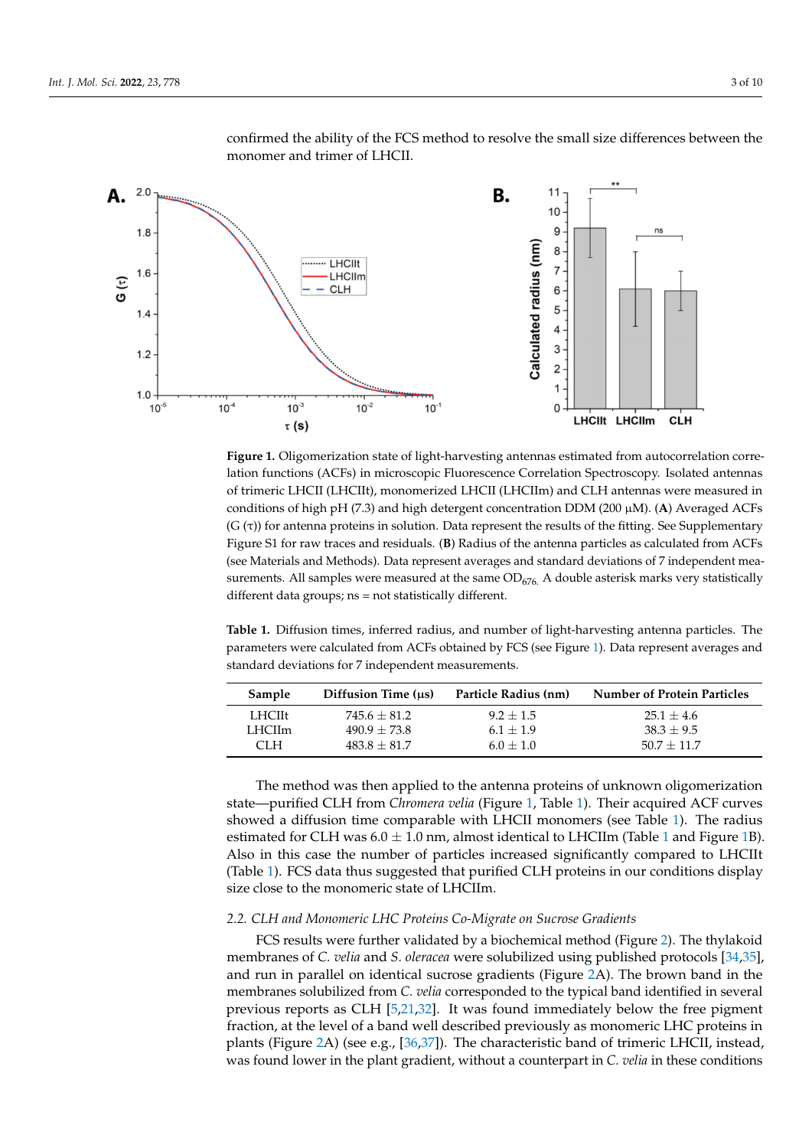

<span id="page-2-0"></span>confirmed the ability of the FCS method to resolve the small size differences between the monomer and trimer of LHCII.

**Figure 1.** Oligomerization state of light-harvesting antennas estimated from autocorrelation correlation functions (ACFs) in microscopic Fluorescence Correlation Spectroscopy. Isolated antennas of trimeric LHCII (LHCIIt), monomerized LHCII (LHCIIm) and CLH antennas were measured in conditions of high pH (7.3) and high detergent concentration DDM (200 µM). (**A**) Averaged ACFs  $(G(\tau))$  for antenna proteins in solution. Data represent the results of the fitting. See Supplementary Figure S1 for raw traces and residuals. (**B**) Radius of the antenna particles as calculated from ACFs (see Materials and Methods). Data represent averages and standard deviations of 7 independent measurements. All samples were measured at the same  $OD<sub>676</sub>$ . A double asterisk marks very statistically different data groups; ns = not statistically different.

<span id="page-2-1"></span>**Table 1.** Diffusion times, inferred radius, and number of light-harvesting antenna particles. The parameters were calculated from ACFs obtained by FCS (see Figure [1\)](#page-2-0). Data represent averages and standard deviations for 7 independent measurements.

| Sample | Diffusion Time (us) | Particle Radius (nm) | <b>Number of Protein Particles</b> |
|--------|---------------------|----------------------|------------------------------------|
| LHCIIt | $745.6 + 81.2$      | $9.2 + 1.5$          | $25.1 + 4.6$                       |
| LHCIIm | $490.9 + 73.8$      | $6.1 + 1.9$          | $38.3 + 9.5$                       |
| CLH.   | $483.8 + 81.7$      | $6.0 + 1.0$          | $50.7 + 11.7$                      |

The method was then applied to the antenna proteins of unknown oligomerization state—purified CLH from *Chromera velia* (Figure [1,](#page-2-0) Table [1\)](#page-2-1). Their acquired ACF curves showed a diffusion time comparable with LHCII monomers (see Table [1\)](#page-2-1). The radius estimated for CLH was  $6.0 \pm 1.0$  $6.0 \pm 1.0$  $6.0 \pm 1.0$  nm, almost identical to LHCIIm (Table 1 and Figure [1B](#page-2-0)). Also in this case the number of particles increased significantly compared to LHCIIt (Table [1\)](#page-2-1). FCS data thus suggested that purified CLH proteins in our conditions display size close to the monomeric state of LHCIIm.

### *2.2. CLH and Monomeric LHC Proteins Co-Migrate on Sucrose Gradients*

FCS results were further validated by a biochemical method (Figure [2\)](#page-3-0). The thylakoid membranes of *C. velia* and *S. oleracea* were solubilized using published protocols [\[34,](#page-9-5)[35\]](#page-9-6), and run in parallel on identical sucrose gradients (Figure [2A](#page-3-0)). The brown band in the membranes solubilized from *C. velia* corresponded to the typical band identified in several previous reports as CLH [\[5,](#page-8-17)[21,](#page-8-14)[32\]](#page-9-3). It was found immediately below the free pigment fraction, at the level of a band well described previously as monomeric LHC proteins in plants (Figure [2A](#page-3-0)) (see e.g., [\[36](#page-9-7)[,37\]](#page-9-8)). The characteristic band of trimeric LHCII, instead, was found lower in the plant gradient, without a counterpart in *C. velia* in these conditions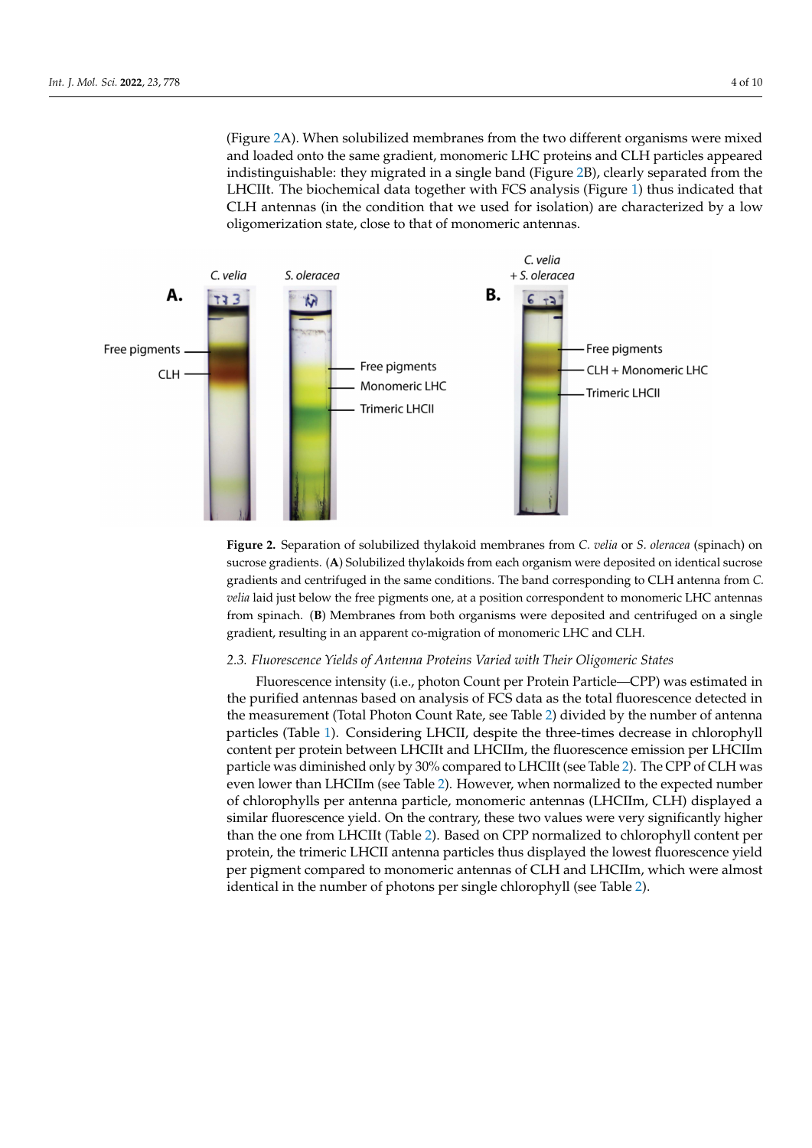<span id="page-3-0"></span>(Figure [2A](#page-3-0)). When solubilized membranes from the two different organisms were mixed and loaded onto the same gradient, monomeric LHC proteins and CLH particles appeared indistinguishable: they migrated in a single band (Figure [2B](#page-3-0)), clearly separated from the LHCIIt. The biochemical data together with FCS analysis (Figure [1\)](#page-2-0) thus indicated that CLH antennas (in the condition that we used for isolation) are characterized by a low oligomerization state, close to that of monomeric antennas.



**Figure 2.** Separation of solubilized thylakoid membranes from *C. velia* or *S. oleracea* (spinach) on sucrose gradients. (**A**) Solubilized thylakoids from each organism were deposited on identical sucrose gradients and centrifuged in the same conditions. The band corresponding to CLH antenna from *C. velia* laid just below the free pigments one, at a position correspondent to monomeric LHC antennas from spinach. (**B**) Membranes from both organisms were deposited and centrifuged on a single gradient, resulting in an apparent co-migration of monomeric LHC and CLH.

### *2.3. Fluorescence Yields of Antenna Proteins Varied with Their Oligomeric States*

Fluorescence intensity (i.e., photon Count per Protein Particle—CPP) was estimated in the purified antennas based on analysis of FCS data as the total fluorescence detected in the measurement (Total Photon Count Rate, see Table [2\)](#page-4-0) divided by the number of antenna particles (Table [1\)](#page-2-1). Considering LHCII, despite the three-times decrease in chlorophyll content per protein between LHCIIt and LHCIIm, the fluorescence emission per LHCIIm particle was diminished only by 30% compared to LHCIIt (see Table [2\)](#page-4-0). The CPP of CLH was even lower than LHCIIm (see Table [2\)](#page-4-0). However, when normalized to the expected number of chlorophylls per antenna particle, monomeric antennas (LHCIIm, CLH) displayed a similar fluorescence yield. On the contrary, these two values were very significantly higher than the one from LHCIIt (Table [2\)](#page-4-0). Based on CPP normalized to chlorophyll content per protein, the trimeric LHCII antenna particles thus displayed the lowest fluorescence yield per pigment compared to monomeric antennas of CLH and LHCIIm, which were almost identical in the number of photons per single chlorophyll (see Table [2\)](#page-4-0).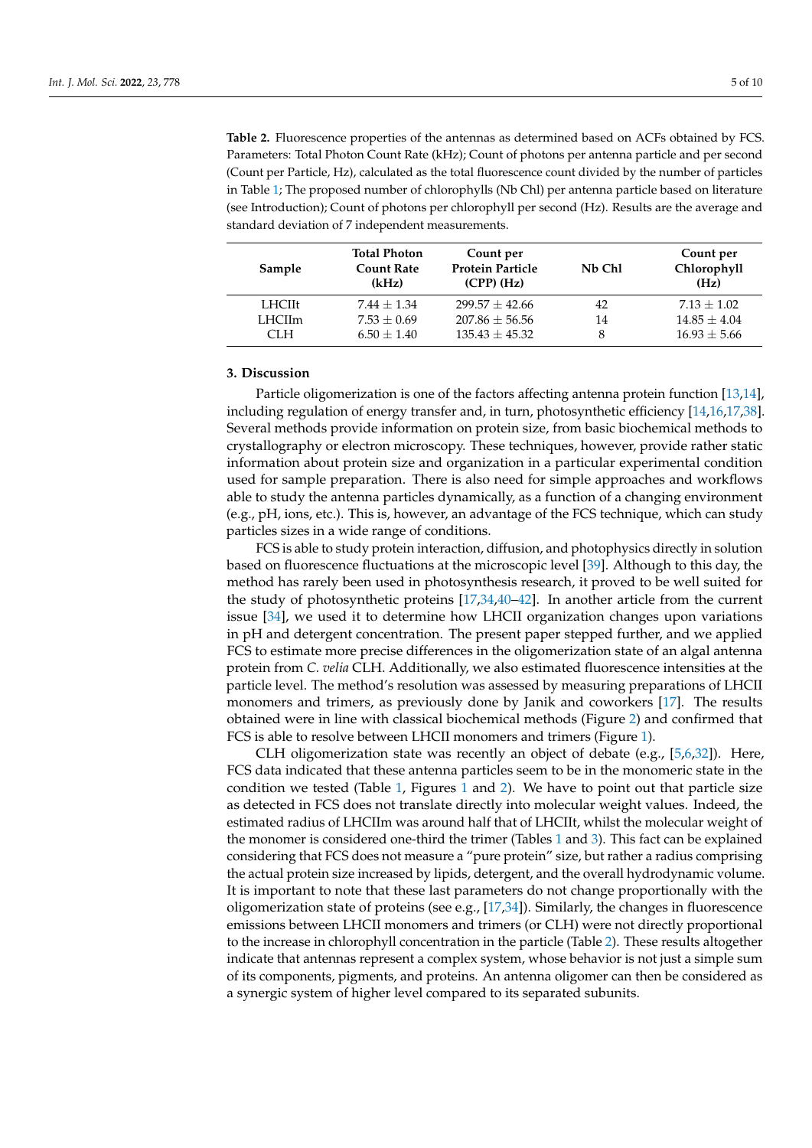<span id="page-4-0"></span>**Table 2.** Fluorescence properties of the antennas as determined based on ACFs obtained by FCS. Parameters: Total Photon Count Rate (kHz); Count of photons per antenna particle and per second (Count per Particle, Hz), calculated as the total fluorescence count divided by the number of particles in Table [1;](#page-2-1) The proposed number of chlorophylls (Nb Chl) per antenna particle based on literature (see Introduction); Count of photons per chlorophyll per second (Hz). Results are the average and standard deviation of 7 independent measurements.

| Sample | <b>Total Photon</b><br><b>Count Rate</b><br>(kHz) | Count per<br><b>Protein Particle</b><br>$(CPP)$ (Hz) | Nb Chl | Count per<br>Chlorophyll<br>(Hz) |
|--------|---------------------------------------------------|------------------------------------------------------|--------|----------------------------------|
| LHCIIt | $7.44 + 1.34$                                     | $299.57 \pm 42.66$                                   | 42     | $7.13 \pm 1.02$                  |
| LHCIIm | $7.53 \pm 0.69$                                   | $207.86 + 56.56$                                     | 14     | $14.85 \pm 4.04$                 |
| CLH.   | $6.50 + 1.40$                                     | $135.43 \pm 45.32$                                   | 8      | $16.93 \pm 5.66$                 |

# **3. Discussion**

Particle oligomerization is one of the factors affecting antenna protein function [\[13](#page-8-6)[,14\]](#page-8-7), including regulation of energy transfer and, in turn, photosynthetic efficiency [\[14](#page-8-7)[,16](#page-8-9)[,17](#page-8-10)[,38\]](#page-9-9). Several methods provide information on protein size, from basic biochemical methods to crystallography or electron microscopy. These techniques, however, provide rather static information about protein size and organization in a particular experimental condition used for sample preparation. There is also need for simple approaches and workflows able to study the antenna particles dynamically, as a function of a changing environment (e.g., pH, ions, etc.). This is, however, an advantage of the FCS technique, which can study particles sizes in a wide range of conditions.

FCS is able to study protein interaction, diffusion, and photophysics directly in solution based on fluorescence fluctuations at the microscopic level [\[39\]](#page-9-10). Although to this day, the method has rarely been used in photosynthesis research, it proved to be well suited for the study of photosynthetic proteins [\[17](#page-8-10)[,34](#page-9-5)[,40–](#page-9-11)[42\]](#page-9-12). In another article from the current issue [\[34\]](#page-9-5), we used it to determine how LHCII organization changes upon variations in pH and detergent concentration. The present paper stepped further, and we applied FCS to estimate more precise differences in the oligomerization state of an algal antenna protein from *C. velia* CLH. Additionally, we also estimated fluorescence intensities at the particle level. The method's resolution was assessed by measuring preparations of LHCII monomers and trimers, as previously done by Janik and coworkers [\[17\]](#page-8-10). The results obtained were in line with classical biochemical methods (Figure [2\)](#page-3-0) and confirmed that FCS is able to resolve between LHCII monomers and trimers (Figure [1\)](#page-2-0).

CLH oligomerization state was recently an object of debate (e.g.,  $[5,6,32]$  $[5,6,32]$  $[5,6,32]$ ). Here, FCS data indicated that these antenna particles seem to be in the monomeric state in the condition we tested (Table [1,](#page-2-1) Figures [1](#page-2-0) and [2\)](#page-3-0). We have to point out that particle size as detected in FCS does not translate directly into molecular weight values. Indeed, the estimated radius of LHCIIm was around half that of LHCIIt, whilst the molecular weight of the monomer is considered one-third the trimer (Tables [1](#page-2-1) and [3\)](#page-5-0). This fact can be explained considering that FCS does not measure a "pure protein" size, but rather a radius comprising the actual protein size increased by lipids, detergent, and the overall hydrodynamic volume. It is important to note that these last parameters do not change proportionally with the oligomerization state of proteins (see e.g., [\[17](#page-8-10)[,34\]](#page-9-5)). Similarly, the changes in fluorescence emissions between LHCII monomers and trimers (or CLH) were not directly proportional to the increase in chlorophyll concentration in the particle (Table [2\)](#page-4-0). These results altogether indicate that antennas represent a complex system, whose behavior is not just a simple sum of its components, pigments, and proteins. An antenna oligomer can then be considered as a synergic system of higher level compared to its separated subunits.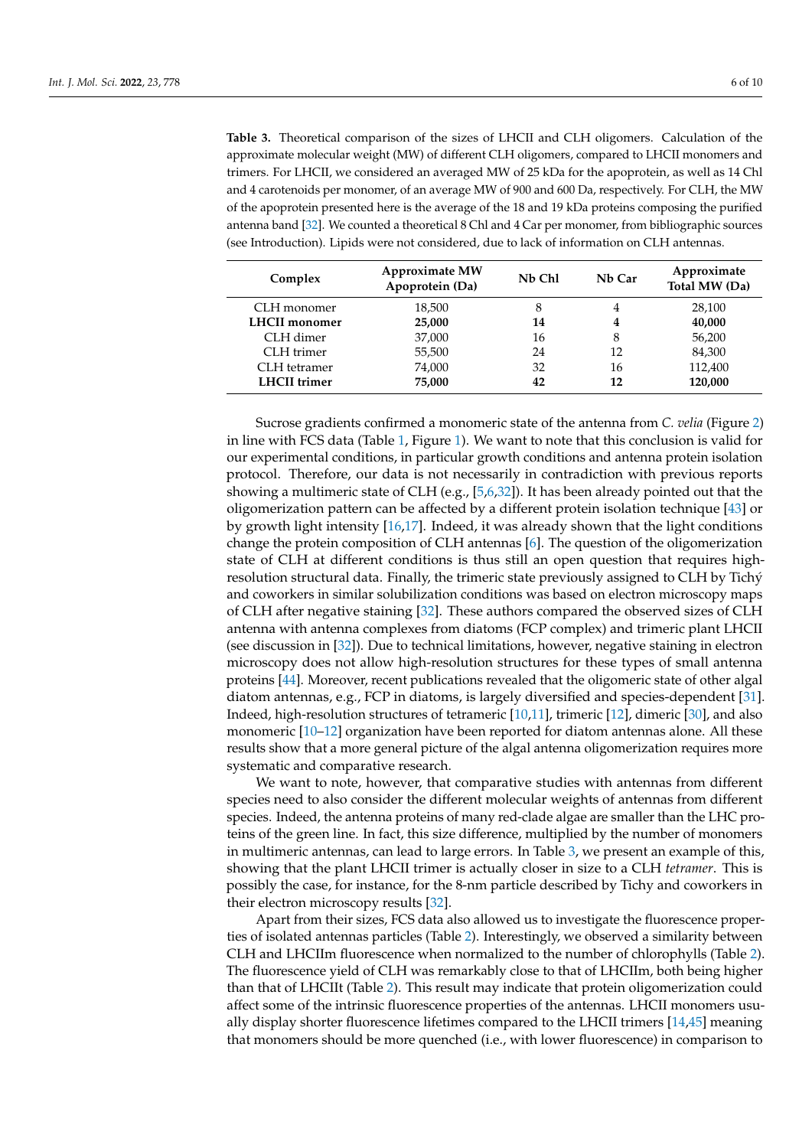<span id="page-5-0"></span>**Table 3.** Theoretical comparison of the sizes of LHCII and CLH oligomers. Calculation of the approximate molecular weight (MW) of different CLH oligomers, compared to LHCII monomers and trimers. For LHCII, we considered an averaged MW of 25 kDa for the apoprotein, as well as 14 Chl and 4 carotenoids per monomer, of an average MW of 900 and 600 Da, respectively. For CLH, the MW of the apoprotein presented here is the average of the 18 and 19 kDa proteins composing the purified antenna band [\[32\]](#page-9-3). We counted a theoretical 8 Chl and 4 Car per monomer, from bibliographic sources (see Introduction). Lipids were not considered, due to lack of information on CLH antennas.

| Complex              | <b>Approximate MW</b><br>Apoprotein (Da) | Nb Chl | Nb Car | Approximate<br>Total MW (Da) |
|----------------------|------------------------------------------|--------|--------|------------------------------|
| CLH monomer          | 18,500                                   | 8      | 4      | 28,100                       |
| <b>LHCII</b> monomer | 25,000                                   | 14     | 4      | 40,000                       |
| CLH dimer            | 37,000                                   | 16     | 8      | 56,200                       |
| CLH trimer           | 55,500                                   | 24     | 12     | 84,300                       |
| CLH tetramer         | 74,000                                   | 32     | 16     | 112,400                      |
| <b>LHCII</b> trimer  | 75,000                                   | 42     | 12     | 120,000                      |

Sucrose gradients confirmed a monomeric state of the antenna from *C. velia* (Figure [2\)](#page-3-0) in line with FCS data (Table [1,](#page-2-1) Figure [1\)](#page-2-0). We want to note that this conclusion is valid for our experimental conditions, in particular growth conditions and antenna protein isolation protocol. Therefore, our data is not necessarily in contradiction with previous reports showing a multimeric state of CLH (e.g., [\[5](#page-8-17)[,6](#page-8-1)[,32\]](#page-9-3)). It has been already pointed out that the oligomerization pattern can be affected by a different protein isolation technique [\[43\]](#page-9-13) or by growth light intensity [\[16](#page-8-9)[,17\]](#page-8-10). Indeed, it was already shown that the light conditions change the protein composition of CLH antennas [\[6\]](#page-8-1). The question of the oligomerization state of CLH at different conditions is thus still an open question that requires highresolution structural data. Finally, the trimeric state previously assigned to CLH by Tichý and coworkers in similar solubilization conditions was based on electron microscopy maps of CLH after negative staining [\[32\]](#page-9-3). These authors compared the observed sizes of CLH antenna with antenna complexes from diatoms (FCP complex) and trimeric plant LHCII (see discussion in [\[32\]](#page-9-3)). Due to technical limitations, however, negative staining in electron microscopy does not allow high-resolution structures for these types of small antenna proteins [\[44\]](#page-9-14). Moreover, recent publications revealed that the oligomeric state of other algal diatom antennas, e.g., FCP in diatoms, is largely diversified and species-dependent [\[31\]](#page-9-2). Indeed, high-resolution structures of tetrameric [\[10,](#page-8-16)[11\]](#page-8-18), trimeric [\[12\]](#page-8-5), dimeric [\[30\]](#page-9-1), and also monomeric [\[10–](#page-8-16)[12\]](#page-8-5) organization have been reported for diatom antennas alone. All these results show that a more general picture of the algal antenna oligomerization requires more systematic and comparative research.

We want to note, however, that comparative studies with antennas from different species need to also consider the different molecular weights of antennas from different species. Indeed, the antenna proteins of many red-clade algae are smaller than the LHC proteins of the green line. In fact, this size difference, multiplied by the number of monomers in multimeric antennas, can lead to large errors. In Table [3,](#page-5-0) we present an example of this, showing that the plant LHCII trimer is actually closer in size to a CLH *tetramer*. This is possibly the case, for instance, for the 8-nm particle described by Tichy and coworkers in their electron microscopy results [\[32\]](#page-9-3).

Apart from their sizes, FCS data also allowed us to investigate the fluorescence properties of isolated antennas particles (Table [2\)](#page-4-0). Interestingly, we observed a similarity between CLH and LHCIIm fluorescence when normalized to the number of chlorophylls (Table [2\)](#page-4-0). The fluorescence yield of CLH was remarkably close to that of LHCIIm, both being higher than that of LHCIIt (Table [2\)](#page-4-0). This result may indicate that protein oligomerization could affect some of the intrinsic fluorescence properties of the antennas. LHCII monomers usually display shorter fluorescence lifetimes compared to the LHCII trimers [\[14,](#page-8-7)[45\]](#page-9-15) meaning that monomers should be more quenched (i.e., with lower fluorescence) in comparison to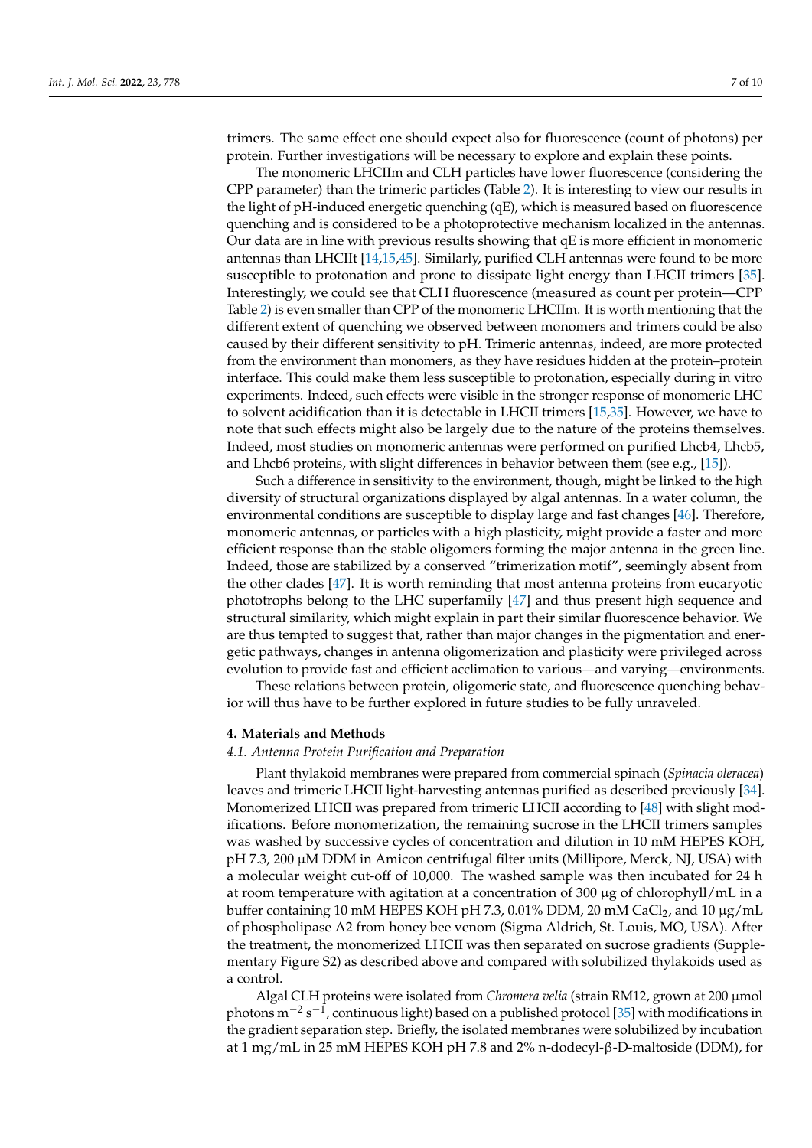trimers. The same effect one should expect also for fluorescence (count of photons) per protein. Further investigations will be necessary to explore and explain these points.

The monomeric LHCIIm and CLH particles have lower fluorescence (considering the CPP parameter) than the trimeric particles (Table [2\)](#page-4-0). It is interesting to view our results in the light of pH-induced energetic quenching (qE), which is measured based on fluorescence quenching and is considered to be a photoprotective mechanism localized in the antennas. Our data are in line with previous results showing that qE is more efficient in monomeric antennas than LHCIIt [\[14](#page-8-7)[,15,](#page-8-8)[45\]](#page-9-15). Similarly, purified CLH antennas were found to be more susceptible to protonation and prone to dissipate light energy than LHCII trimers [\[35\]](#page-9-6). Interestingly, we could see that CLH fluorescence (measured as count per protein—CPP Table [2\)](#page-4-0) is even smaller than CPP of the monomeric LHCIIm. It is worth mentioning that the different extent of quenching we observed between monomers and trimers could be also caused by their different sensitivity to pH. Trimeric antennas, indeed, are more protected from the environment than monomers, as they have residues hidden at the protein–protein interface. This could make them less susceptible to protonation, especially during in vitro experiments. Indeed, such effects were visible in the stronger response of monomeric LHC to solvent acidification than it is detectable in LHCII trimers [\[15](#page-8-8)[,35\]](#page-9-6). However, we have to note that such effects might also be largely due to the nature of the proteins themselves. Indeed, most studies on monomeric antennas were performed on purified Lhcb4, Lhcb5, and Lhcb6 proteins, with slight differences in behavior between them (see e.g., [\[15\]](#page-8-8)).

Such a difference in sensitivity to the environment, though, might be linked to the high diversity of structural organizations displayed by algal antennas. In a water column, the environmental conditions are susceptible to display large and fast changes [\[46\]](#page-9-16). Therefore, monomeric antennas, or particles with a high plasticity, might provide a faster and more efficient response than the stable oligomers forming the major antenna in the green line. Indeed, those are stabilized by a conserved "trimerization motif", seemingly absent from the other clades [\[47\]](#page-9-17). It is worth reminding that most antenna proteins from eucaryotic phototrophs belong to the LHC superfamily [\[47\]](#page-9-17) and thus present high sequence and structural similarity, which might explain in part their similar fluorescence behavior. We are thus tempted to suggest that, rather than major changes in the pigmentation and energetic pathways, changes in antenna oligomerization and plasticity were privileged across evolution to provide fast and efficient acclimation to various—and varying—environments.

These relations between protein, oligomeric state, and fluorescence quenching behavior will thus have to be further explored in future studies to be fully unraveled.

#### **4. Materials and Methods**

### *4.1. Antenna Protein Purification and Preparation*

Plant thylakoid membranes were prepared from commercial spinach (*Spinacia oleracea*) leaves and trimeric LHCII light-harvesting antennas purified as described previously [\[34\]](#page-9-5). Monomerized LHCII was prepared from trimeric LHCII according to [\[48\]](#page-9-18) with slight modifications. Before monomerization, the remaining sucrose in the LHCII trimers samples was washed by successive cycles of concentration and dilution in 10 mM HEPES KOH, pH 7.3, 200 µM DDM in Amicon centrifugal filter units (Millipore, Merck, NJ, USA) with a molecular weight cut-off of 10,000. The washed sample was then incubated for 24 h at room temperature with agitation at a concentration of  $300 \mu g$  of chlorophyll/mL in a buffer containing 10 mM HEPES KOH pH 7.3, 0.01% DDM, 20 mM CaCl<sub>2</sub>, and 10 µg/mL of phospholipase A2 from honey bee venom (Sigma Aldrich, St. Louis, MO, USA). After the treatment, the monomerized LHCII was then separated on sucrose gradients (Supplementary Figure S2) as described above and compared with solubilized thylakoids used as a control.

Algal CLH proteins were isolated from *Chromera velia* (strain RM12, grown at 200 µmol photons m $^{-2}$  s $^{-1}$ , continuous light) based on a published protocol [\[35\]](#page-9-6) with modifications in the gradient separation step. Briefly, the isolated membranes were solubilized by incubation at 1 mg/mL in 25 mM HEPES KOH pH 7.8 and 2% n-dodecyl-β-D-maltoside (DDM), for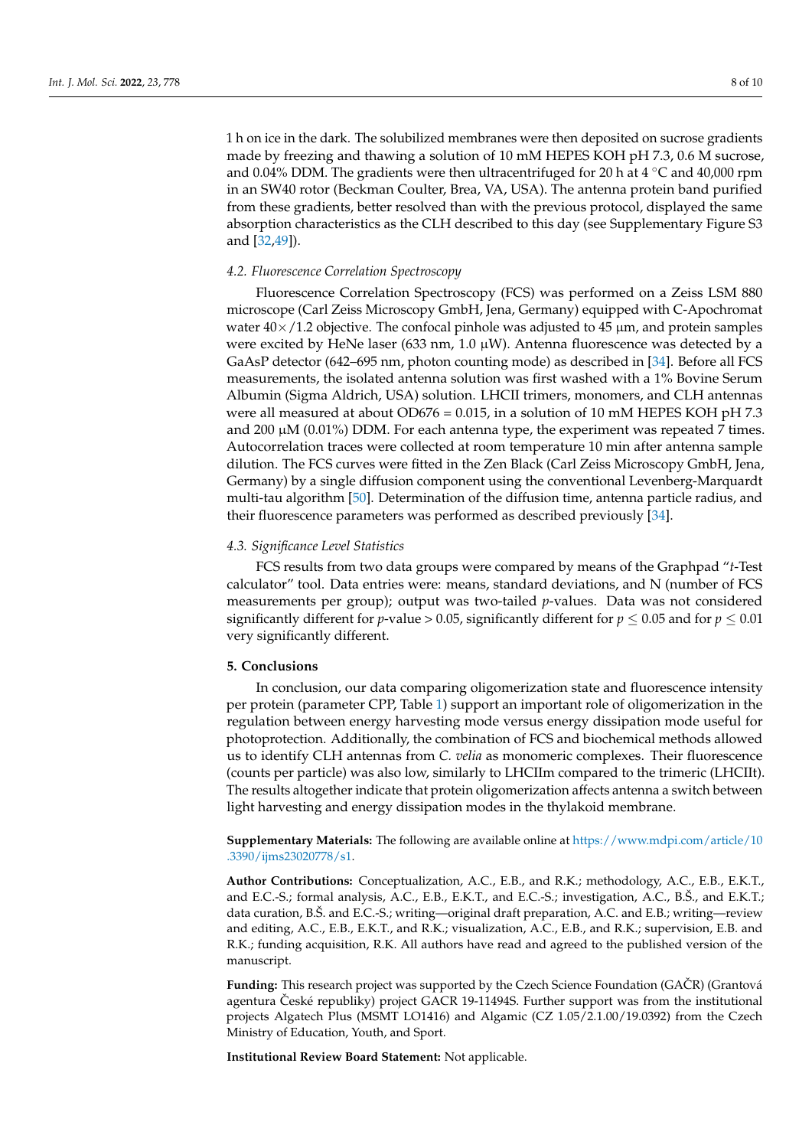1 h on ice in the dark. The solubilized membranes were then deposited on sucrose gradients made by freezing and thawing a solution of 10 mM HEPES KOH pH 7.3, 0.6 M sucrose, and 0.04% DDM. The gradients were then ultracentrifuged for 20 h at 4  $°C$  and 40,000 rpm in an SW40 rotor (Beckman Coulter, Brea, VA, USA). The antenna protein band purified from these gradients, better resolved than with the previous protocol, displayed the same

*4.2. Fluorescence Correlation Spectroscopy*

and [\[32,](#page-9-3)[49\]](#page-9-19)).

Fluorescence Correlation Spectroscopy (FCS) was performed on a Zeiss LSM 880 microscope (Carl Zeiss Microscopy GmbH, Jena, Germany) equipped with C-Apochromat water  $40\times/1.2$  objective. The confocal pinhole was adjusted to 45  $\mu$ m, and protein samples were excited by HeNe laser (633 nm, 1.0  $\mu$ W). Antenna fluorescence was detected by a GaAsP detector (642–695 nm, photon counting mode) as described in [\[34\]](#page-9-5). Before all FCS measurements, the isolated antenna solution was first washed with a 1% Bovine Serum Albumin (Sigma Aldrich, USA) solution. LHCII trimers, monomers, and CLH antennas were all measured at about  $OD676 = 0.015$ , in a solution of 10 mM HEPES KOH pH 7.3 and 200  $\mu$ M (0.01%) DDM. For each antenna type, the experiment was repeated 7 times. Autocorrelation traces were collected at room temperature 10 min after antenna sample dilution. The FCS curves were fitted in the Zen Black (Carl Zeiss Microscopy GmbH, Jena, Germany) by a single diffusion component using the conventional Levenberg-Marquardt multi-tau algorithm [\[50\]](#page-9-20). Determination of the diffusion time, antenna particle radius, and their fluorescence parameters was performed as described previously [\[34\]](#page-9-5).

absorption characteristics as the CLH described to this day (see Supplementary Figure S3

### *4.3. Significance Level Statistics*

FCS results from two data groups were compared by means of the Graphpad "*t*-Test calculator" tool. Data entries were: means, standard deviations, and N (number of FCS measurements per group); output was two-tailed *p*-values. Data was not considered significantly different for *p*-value > 0.05, significantly different for  $p \le 0.05$  and for  $p \le 0.01$ very significantly different.

# **5. Conclusions**

In conclusion, our data comparing oligomerization state and fluorescence intensity per protein (parameter CPP, Table [1\)](#page-2-1) support an important role of oligomerization in the regulation between energy harvesting mode versus energy dissipation mode useful for photoprotection. Additionally, the combination of FCS and biochemical methods allowed us to identify CLH antennas from *C. velia* as monomeric complexes. Their fluorescence (counts per particle) was also low, similarly to LHCIIm compared to the trimeric (LHCIIt). The results altogether indicate that protein oligomerization affects antenna a switch between light harvesting and energy dissipation modes in the thylakoid membrane.

**Supplementary Materials:** The following are available online at [https://www.mdpi.com/article/10](https://www.mdpi.com/article/10.3390/ijms23020778/s1) [.3390/ijms23020778/s1.](https://www.mdpi.com/article/10.3390/ijms23020778/s1)

**Author Contributions:** Conceptualization, A.C., E.B., and R.K.; methodology, A.C., E.B., E.K.T., and E.C.-S.; formal analysis, A.C., E.B., E.K.T., and E.C.-S.; investigation, A.C., B.Š., and E.K.T.; data curation, B.Š. and E.C.-S.; writing—original draft preparation, A.C. and E.B.; writing—review and editing, A.C., E.B., E.K.T., and R.K.; visualization, A.C., E.B., and R.K.; supervision, E.B. and R.K.; funding acquisition, R.K. All authors have read and agreed to the published version of the manuscript.

**Funding:** This research project was supported by the Czech Science Foundation (GACR) (Grantová agentura České republiky) project GACR 19-11494S. Further support was from the institutional projects Algatech Plus (MSMT LO1416) and Algamic (CZ 1.05/2.1.00/19.0392) from the Czech Ministry of Education, Youth, and Sport.

**Institutional Review Board Statement:** Not applicable.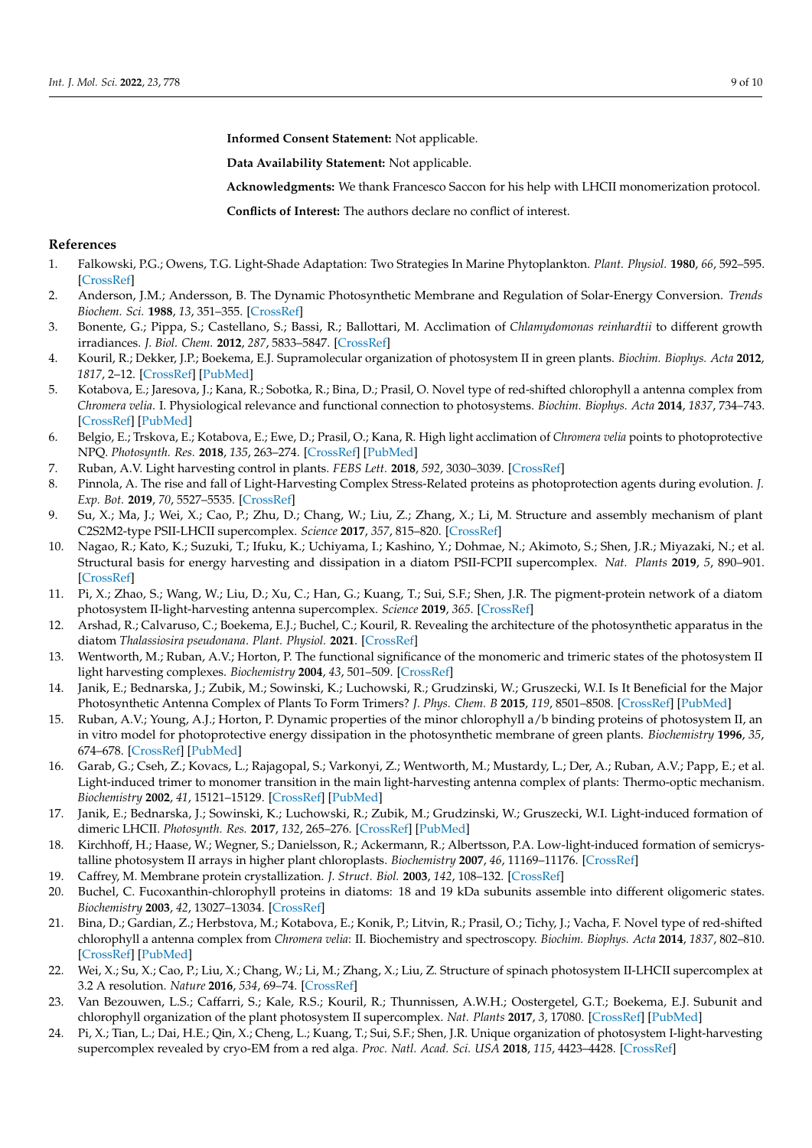**Informed Consent Statement:** Not applicable.

**Data Availability Statement:** Not applicable.

**Acknowledgments:** We thank Francesco Saccon for his help with LHCII monomerization protocol.

**Conflicts of Interest:** The authors declare no conflict of interest.

### **References**

- <span id="page-8-0"></span>1. Falkowski, P.G.; Owens, T.G. Light-Shade Adaptation: Two Strategies In Marine Phytoplankton. *Plant. Physiol.* **1980**, *66*, 592–595. [\[CrossRef\]](http://doi.org/10.1104/pp.66.4.592)
- 2. Anderson, J.M.; Andersson, B. The Dynamic Photosynthetic Membrane and Regulation of Solar-Energy Conversion. *Trends Biochem. Sci.* **1988**, *13*, 351–355. [\[CrossRef\]](http://doi.org/10.1016/0968-0004(88)90106-5)
- 3. Bonente, G.; Pippa, S.; Castellano, S.; Bassi, R.; Ballottari, M. Acclimation of *Chlamydomonas reinhardtii* to different growth irradiances. *J. Biol. Chem.* **2012**, *287*, 5833–5847. [\[CrossRef\]](http://doi.org/10.1074/jbc.M111.304279)
- 4. Kouril, R.; Dekker, J.P.; Boekema, E.J. Supramolecular organization of photosystem II in green plants. *Biochim. Biophys. Acta* **2012**, *1817*, 2–12. [\[CrossRef\]](http://doi.org/10.1016/j.bbabio.2011.05.024) [\[PubMed\]](http://www.ncbi.nlm.nih.gov/pubmed/21723248)
- <span id="page-8-17"></span>5. Kotabova, E.; Jaresova, J.; Kana, R.; Sobotka, R.; Bina, D.; Prasil, O. Novel type of red-shifted chlorophyll a antenna complex from *Chromera velia*. I. Physiological relevance and functional connection to photosystems. *Biochim. Biophys. Acta* **2014**, *1837*, 734–743. [\[CrossRef\]](http://doi.org/10.1016/j.bbabio.2014.01.012) [\[PubMed\]](http://www.ncbi.nlm.nih.gov/pubmed/24480388)
- <span id="page-8-1"></span>6. Belgio, E.; Trskova, E.; Kotabova, E.; Ewe, D.; Prasil, O.; Kana, R. High light acclimation of *Chromera velia* points to photoprotective NPQ. *Photosynth. Res.* **2018**, *135*, 263–274. [\[CrossRef\]](http://doi.org/10.1007/s11120-017-0385-8) [\[PubMed\]](http://www.ncbi.nlm.nih.gov/pubmed/28405863)
- <span id="page-8-2"></span>7. Ruban, A.V. Light harvesting control in plants. *FEBS Lett.* **2018**, *592*, 3030–3039. [\[CrossRef\]](http://doi.org/10.1002/1873-3468.13111)
- <span id="page-8-3"></span>8. Pinnola, A. The rise and fall of Light-Harvesting Complex Stress-Related proteins as photoprotection agents during evolution. *J. Exp. Bot.* **2019**, *70*, 5527–5535. [\[CrossRef\]](http://doi.org/10.1093/jxb/erz317)
- <span id="page-8-4"></span>9. Su, X.; Ma, J.; Wei, X.; Cao, P.; Zhu, D.; Chang, W.; Liu, Z.; Zhang, X.; Li, M. Structure and assembly mechanism of plant C2S2M2-type PSII-LHCII supercomplex. *Science* **2017**, *357*, 815–820. [\[CrossRef\]](http://doi.org/10.1126/science.aan0327)
- <span id="page-8-16"></span>10. Nagao, R.; Kato, K.; Suzuki, T.; Ifuku, K.; Uchiyama, I.; Kashino, Y.; Dohmae, N.; Akimoto, S.; Shen, J.R.; Miyazaki, N.; et al. Structural basis for energy harvesting and dissipation in a diatom PSII-FCPII supercomplex. *Nat. Plants* **2019**, *5*, 890–901. [\[CrossRef\]](http://doi.org/10.1038/s41477-019-0477-x)
- <span id="page-8-18"></span>11. Pi, X.; Zhao, S.; Wang, W.; Liu, D.; Xu, C.; Han, G.; Kuang, T.; Sui, S.F.; Shen, J.R. The pigment-protein network of a diatom photosystem II-light-harvesting antenna supercomplex. *Science* **2019**, *365*. [\[CrossRef\]](http://doi.org/10.1126/science.aax4406)
- <span id="page-8-5"></span>12. Arshad, R.; Calvaruso, C.; Boekema, E.J.; Buchel, C.; Kouril, R. Revealing the architecture of the photosynthetic apparatus in the diatom *Thalassiosira pseudonana*. *Plant. Physiol.* **2021**. [\[CrossRef\]](http://doi.org/10.1093/plphys/kiab208)
- <span id="page-8-6"></span>13. Wentworth, M.; Ruban, A.V.; Horton, P. The functional significance of the monomeric and trimeric states of the photosystem II light harvesting complexes. *Biochemistry* **2004**, *43*, 501–509. [\[CrossRef\]](http://doi.org/10.1021/bi034975i)
- <span id="page-8-7"></span>14. Janik, E.; Bednarska, J.; Zubik, M.; Sowinski, K.; Luchowski, R.; Grudzinski, W.; Gruszecki, W.I. Is It Beneficial for the Major Photosynthetic Antenna Complex of Plants To Form Trimers? *J. Phys. Chem. B* **2015**, *119*, 8501–8508. [\[CrossRef\]](http://doi.org/10.1021/acs.jpcb.5b04005) [\[PubMed\]](http://www.ncbi.nlm.nih.gov/pubmed/26085037)
- <span id="page-8-8"></span>15. Ruban, A.V.; Young, A.J.; Horton, P. Dynamic properties of the minor chlorophyll a/b binding proteins of photosystem II, an in vitro model for photoprotective energy dissipation in the photosynthetic membrane of green plants. *Biochemistry* **1996**, *35*, 674–678. [\[CrossRef\]](http://doi.org/10.1021/bi9524878) [\[PubMed\]](http://www.ncbi.nlm.nih.gov/pubmed/8547246)
- <span id="page-8-9"></span>16. Garab, G.; Cseh, Z.; Kovacs, L.; Rajagopal, S.; Varkonyi, Z.; Wentworth, M.; Mustardy, L.; Der, A.; Ruban, A.V.; Papp, E.; et al. Light-induced trimer to monomer transition in the main light-harvesting antenna complex of plants: Thermo-optic mechanism. *Biochemistry* **2002**, *41*, 15121–15129. [\[CrossRef\]](http://doi.org/10.1021/bi026157g) [\[PubMed\]](http://www.ncbi.nlm.nih.gov/pubmed/12484748)
- <span id="page-8-10"></span>17. Janik, E.; Bednarska, J.; Sowinski, K.; Luchowski, R.; Zubik, M.; Grudzinski, W.; Gruszecki, W.I. Light-induced formation of dimeric LHCII. *Photosynth. Res.* **2017**, *132*, 265–276. [\[CrossRef\]](http://doi.org/10.1007/s11120-017-0387-6) [\[PubMed\]](http://www.ncbi.nlm.nih.gov/pubmed/28425025)
- <span id="page-8-11"></span>18. Kirchhoff, H.; Haase, W.; Wegner, S.; Danielsson, R.; Ackermann, R.; Albertsson, P.A. Low-light-induced formation of semicrystalline photosystem II arrays in higher plant chloroplasts. *Biochemistry* **2007**, *46*, 11169–11176. [\[CrossRef\]](http://doi.org/10.1021/bi700748y)
- <span id="page-8-12"></span>19. Caffrey, M. Membrane protein crystallization. *J. Struct. Biol.* **2003**, *142*, 108–132. [\[CrossRef\]](http://doi.org/10.1016/S1047-8477(03)00043-1)
- <span id="page-8-13"></span>20. Buchel, C. Fucoxanthin-chlorophyll proteins in diatoms: 18 and 19 kDa subunits assemble into different oligomeric states. *Biochemistry* **2003**, *42*, 13027–13034. [\[CrossRef\]](http://doi.org/10.1021/bi0349468)
- <span id="page-8-14"></span>21. Bina, D.; Gardian, Z.; Herbstova, M.; Kotabova, E.; Konik, P.; Litvin, R.; Prasil, O.; Tichy, J.; Vacha, F. Novel type of red-shifted chlorophyll a antenna complex from *Chromera velia*: II. Biochemistry and spectroscopy. *Biochim. Biophys. Acta* **2014**, *1837*, 802–810. [\[CrossRef\]](http://doi.org/10.1016/j.bbabio.2014.01.011) [\[PubMed\]](http://www.ncbi.nlm.nih.gov/pubmed/24486443)
- <span id="page-8-15"></span>22. Wei, X.; Su, X.; Cao, P.; Liu, X.; Chang, W.; Li, M.; Zhang, X.; Liu, Z. Structure of spinach photosystem II-LHCII supercomplex at 3.2 A resolution. *Nature* **2016**, *534*, 69–74. [\[CrossRef\]](http://doi.org/10.1038/nature18020)
- 23. Van Bezouwen, L.S.; Caffarri, S.; Kale, R.S.; Kouril, R.; Thunnissen, A.W.H.; Oostergetel, G.T.; Boekema, E.J. Subunit and chlorophyll organization of the plant photosystem II supercomplex. *Nat. Plants* **2017**, *3*, 17080. [\[CrossRef\]](http://doi.org/10.1038/nplants.2017.80) [\[PubMed\]](http://www.ncbi.nlm.nih.gov/pubmed/28604725)
- 24. Pi, X.; Tian, L.; Dai, H.E.; Qin, X.; Cheng, L.; Kuang, T.; Sui, S.F.; Shen, J.R. Unique organization of photosystem I-light-harvesting supercomplex revealed by cryo-EM from a red alga. *Proc. Natl. Acad. Sci. USA* **2018**, *115*, 4423–4428. [\[CrossRef\]](http://doi.org/10.1073/pnas.1722482115)